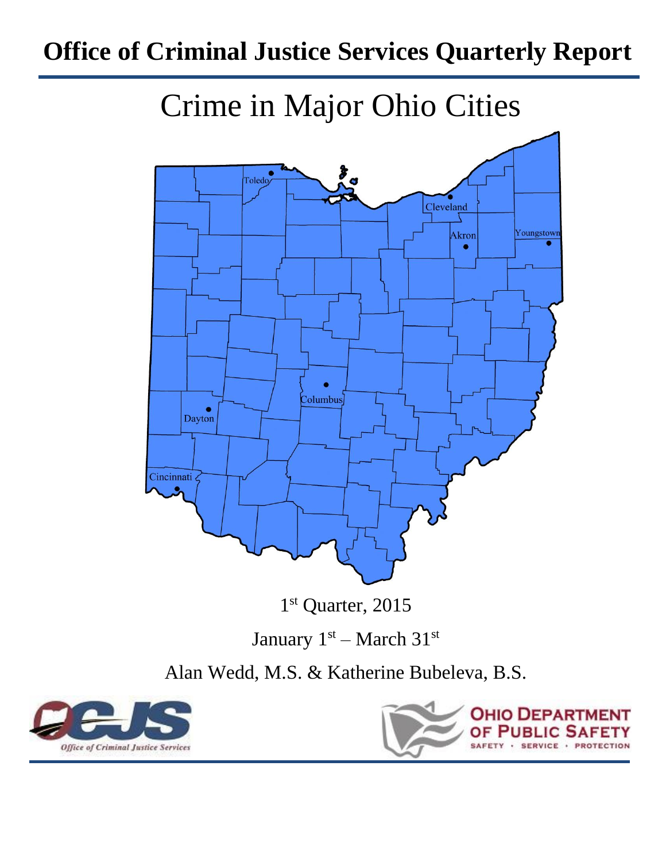# **Office of Criminal Justice Services Quarterly Report**





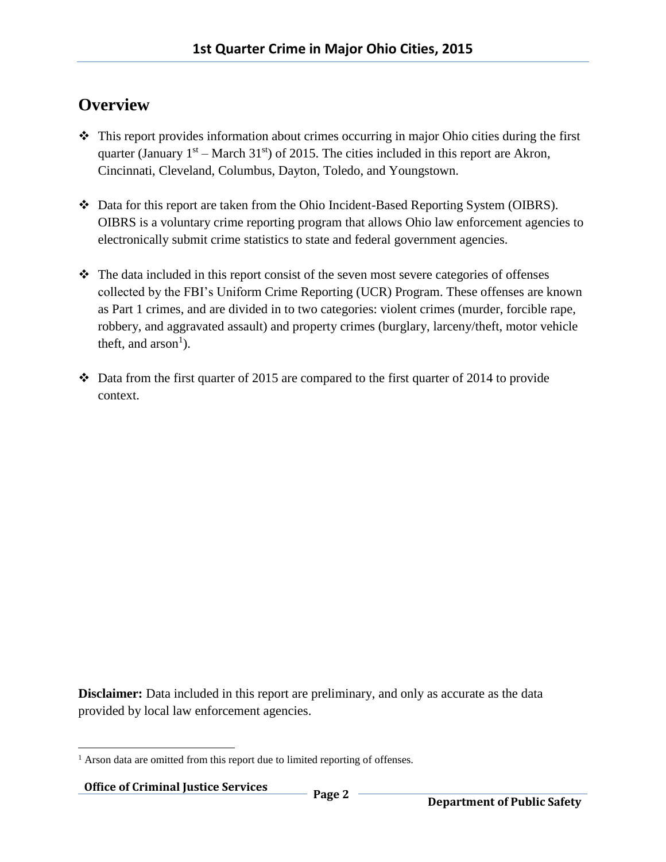#### **Overview**

- $\cdot \cdot$  This report provides information about crimes occurring in major Ohio cities during the first quarter (January  $1<sup>st</sup>$  – March 31<sup>st</sup>) of 2015. The cities included in this report are Akron, Cincinnati, Cleveland, Columbus, Dayton, Toledo, and Youngstown.
- Data for this report are taken from the Ohio Incident-Based Reporting System (OIBRS). OIBRS is a voluntary crime reporting program that allows Ohio law enforcement agencies to electronically submit crime statistics to state and federal government agencies.
- The data included in this report consist of the seven most severe categories of offenses collected by the FBI's Uniform Crime Reporting (UCR) Program. These offenses are known as Part 1 crimes, and are divided in to two categories: violent crimes (murder, forcible rape, robbery, and aggravated assault) and property crimes (burglary, larceny/theft, motor vehicle theft, and  $arson<sup>1</sup>$ ).
- $\cdot \cdot$  Data from the first quarter of 2015 are compared to the first quarter of 2014 to provide context.

**Disclaimer:** Data included in this report are preliminary, and only as accurate as the data provided by local law enforcement agencies.

 $\overline{a}$ <sup>1</sup> Arson data are omitted from this report due to limited reporting of offenses.

**Office of Criminal Justice Services Page 2**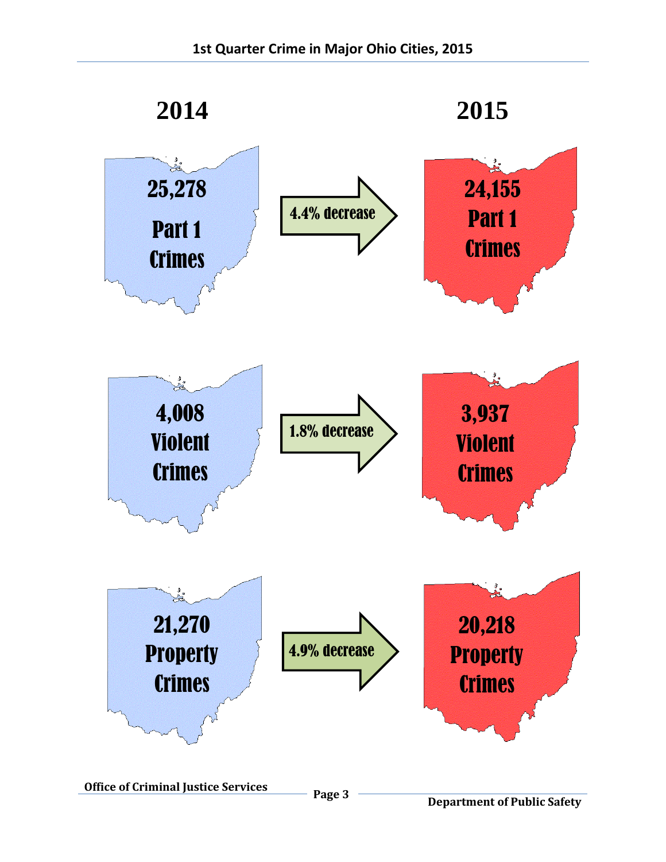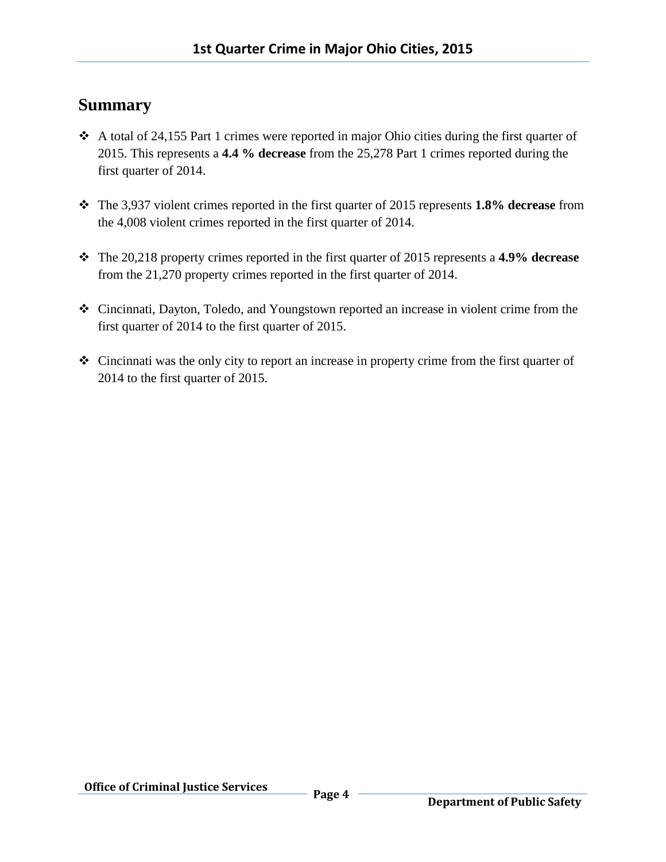#### **Summary**

- $\triangle$  A total of 24,155 Part 1 crimes were reported in major Ohio cities during the first quarter of 2015. This represents a **4.4 % decrease** from the 25,278 Part 1 crimes reported during the first quarter of 2014.
- The 3,937 violent crimes reported in the first quarter of 2015 represents **1.8% decrease** from the 4,008 violent crimes reported in the first quarter of 2014.
- The 20,218 property crimes reported in the first quarter of 2015 represents a **4.9% decrease** from the 21,270 property crimes reported in the first quarter of 2014.
- Cincinnati, Dayton, Toledo, and Youngstown reported an increase in violent crime from the first quarter of 2014 to the first quarter of 2015.
- Cincinnati was the only city to report an increase in property crime from the first quarter of 2014 to the first quarter of 2015.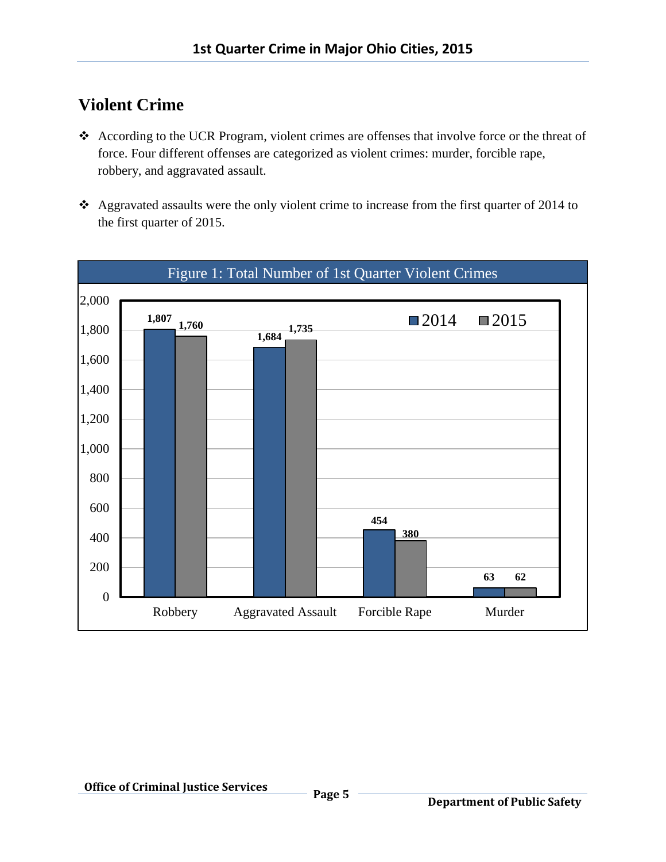### **Violent Crime**

- According to the UCR Program, violent crimes are offenses that involve force or the threat of force. Four different offenses are categorized as violent crimes: murder, forcible rape, robbery, and aggravated assault.
- \* Aggravated assaults were the only violent crime to increase from the first quarter of 2014 to the first quarter of 2015.

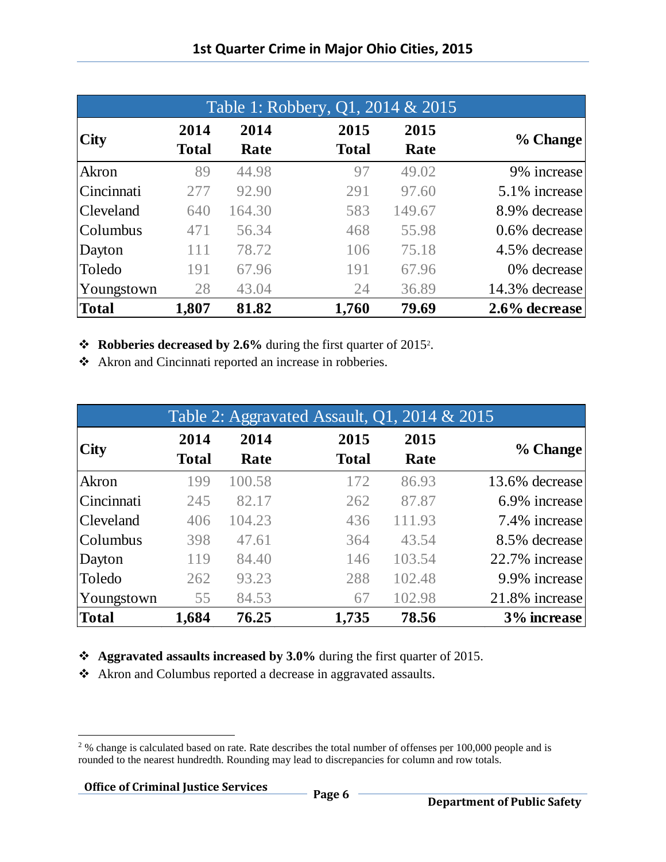| Table 1: Robbery, Q1, 2014 & 2015 |                      |              |                      |              |                  |  |
|-----------------------------------|----------------------|--------------|----------------------|--------------|------------------|--|
| <b>City</b>                       | 2014<br><b>Total</b> | 2014<br>Rate | 2015<br><b>Total</b> | 2015<br>Rate | % Change         |  |
| Akron                             | 89                   | 44.98        | 97                   | 49.02        | 9% increase      |  |
| Cincinnati                        | 277                  | 92.90        | 291                  | 97.60        | 5.1% increase    |  |
| <b>Cleveland</b>                  | 640                  | 164.30       | 583                  | 149.67       | 8.9% decrease    |  |
| Columbus                          | 471                  | 56.34        | 468                  | 55.98        | $0.6\%$ decrease |  |
| Dayton                            | 111                  | 78.72        | 106                  | 75.18        | 4.5% decrease    |  |
| Toledo                            | 191                  | 67.96        | 191                  | 67.96        | 0% decrease      |  |
| Youngstown                        | 28                   | 43.04        | 24                   | 36.89        | 14.3% decrease   |  |
| Total                             | 1,807                | 81.82        | 1,760                | 79.69        | 2.6% decrease    |  |

**❖** Robberies decreased by 2.6% during the first quarter of 2015<sup>2</sup>.

Akron and Cincinnati reported an increase in robberies.

|                  |              |        | Table 2: Aggravated Assault, $Q1$ , $2014 \& 2015$ |        |                |
|------------------|--------------|--------|----------------------------------------------------|--------|----------------|
| <b>City</b>      | 2014         | 2014   | 2015                                               | 2015   |                |
|                  | <b>Total</b> | Rate   | <b>Total</b>                                       | Rate   | % Change       |
| Akron            | 199          | 100.58 | 172                                                | 86.93  | 13.6% decrease |
| Cincinnati       | 245          | 82.17  | 262                                                | 87.87  | 6.9% increase  |
| <b>Cleveland</b> | 406          | 104.23 | 436                                                | 111.93 | 7.4% increase  |
| Columbus         | 398          | 47.61  | 364                                                | 43.54  | 8.5% decrease  |
| Dayton           | 119          | 84.40  | 146                                                | 103.54 | 22.7% increase |
| Toledo           | 262          | 93.23  | 288                                                | 102.48 | 9.9% increase  |
| Youngstown       | 55           | 84.53  | 67                                                 | 102.98 | 21.8% increase |
| Total            | 1,684        | 76.25  | 1,735                                              | 78.56  | 3% increase    |

**Aggravated assaults increased by 3.0%** during the first quarter of 2015.

Akron and Columbus reported a decrease in aggravated assaults.

l <sup>2</sup>% change is calculated based on rate. Rate describes the total number of offenses per 100,000 people and is rounded to the nearest hundredth. Rounding may lead to discrepancies for column and row totals.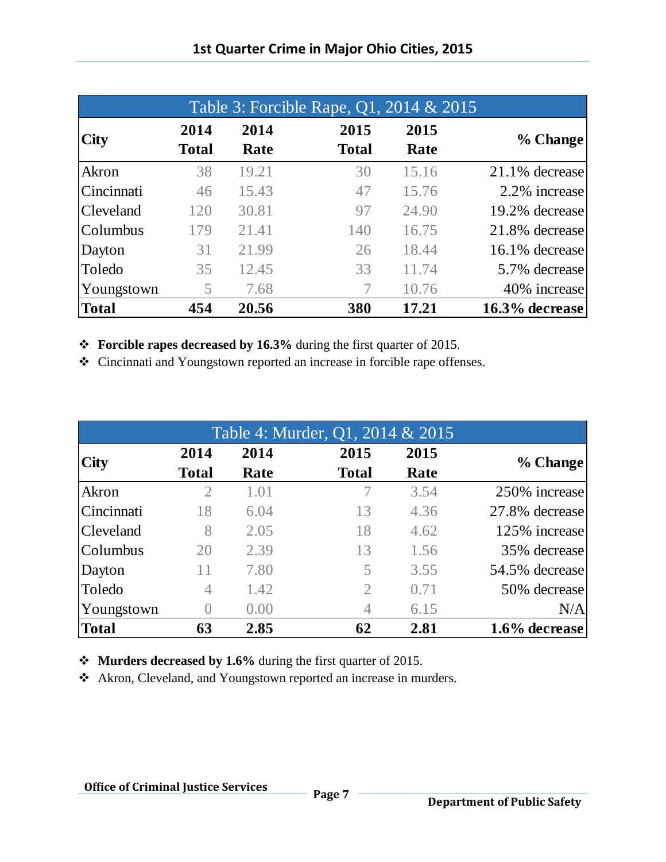| Table 3: Forcible Rape, Q1, 2014 & 2015 |                      |              |                      |              |                   |
|-----------------------------------------|----------------------|--------------|----------------------|--------------|-------------------|
| <b>City</b>                             | 2014<br><b>Total</b> | 2014<br>Rate | 2015<br><b>Total</b> | 2015<br>Rate | % Change          |
| Akron                                   | 38                   | 19.21        | 30                   | 15.16        | $21.1\%$ decrease |
| Cincinnati                              | 46                   | 15.43        | 47                   | 15.76        | 2.2% increase     |
| <b>Cleveland</b>                        | 120                  | 30.81        | 97                   | 24.90        | 19.2% decrease    |
| Columbus                                | 179                  | 21.41        | 140                  | 16.75        | 21.8% decrease    |
| Dayton                                  | 31                   | 21.99        | 26                   | 18.44        | 16.1% decrease    |
| Toledo                                  | 35                   | 12.45        | 33                   | 11.74        | 5.7% decrease     |
| Youngstown                              | 5                    | 7.68         | 7                    | 10.76        | 40% increase      |
| <b>Total</b>                            | 454                  | 20.56        | 380                  | 17.21        | 16.3% decrease    |

**Forcible rapes decreased by 16.3%** during the first quarter of 2015.

Cincinnati and Youngstown reported an increase in forcible rape offenses.

| Table 4: Murder, Q1, 2014 & 2015 |                  |      |                |      |                |  |
|----------------------------------|------------------|------|----------------|------|----------------|--|
| <b>City</b>                      | 2014             | 2014 | 2015           | 2015 |                |  |
|                                  | <b>Total</b>     | Rate | <b>Total</b>   | Rate | % Change       |  |
| Akron                            | $\overline{2}$   | 1.01 | 7              | 3.54 | 250% increase  |  |
| Cincinnati                       | 18               | 6.04 | 13             | 4.36 | 27.8% decrease |  |
| <b>Cleveland</b>                 | 8                | 2.05 | 18             | 4.62 | 125% increase  |  |
| Columbus                         | 20               | 2.39 | 13             | 1.56 | 35% decrease   |  |
| Dayton                           | 11               | 7.80 | 5              | 3.55 | 54.5% decrease |  |
| Toledo                           | 4                | 1.42 | $\overline{2}$ | 0.71 | 50% decrease   |  |
| Youngstown                       | $\left( \right)$ | 0.00 | 4              | 6.15 | N/A            |  |
| Total                            | 63               | 2.85 | 62             | 2.81 | 1.6% decrease  |  |
|                                  |                  |      |                |      |                |  |

**Murders decreased by 1.6%** during the first quarter of 2015.

Akron, Cleveland, and Youngstown reported an increase in murders.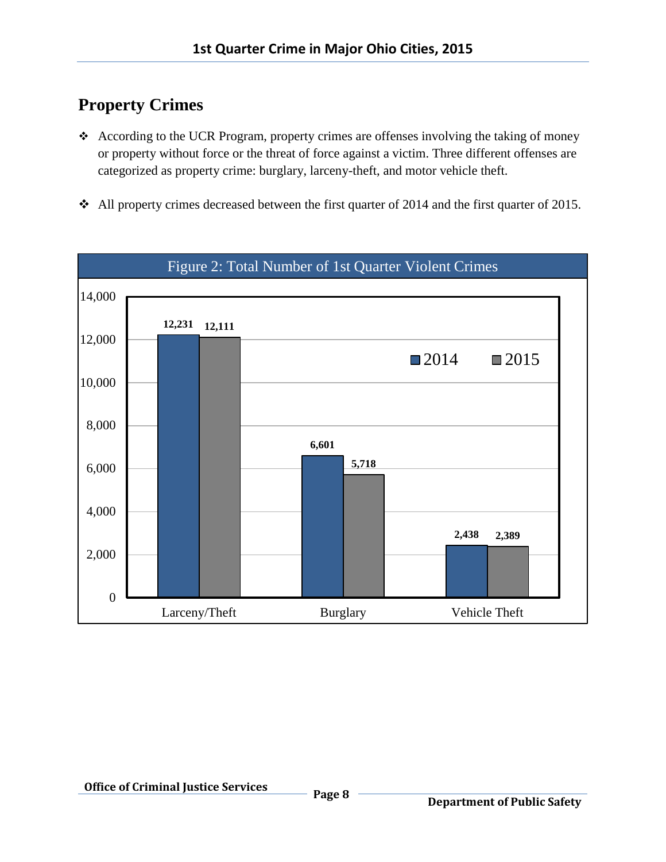## **Property Crimes**

- According to the UCR Program, property crimes are offenses involving the taking of money or property without force or the threat of force against a victim. Three different offenses are categorized as property crime: burglary, larceny-theft, and motor vehicle theft.
- All property crimes decreased between the first quarter of 2014 and the first quarter of 2015.

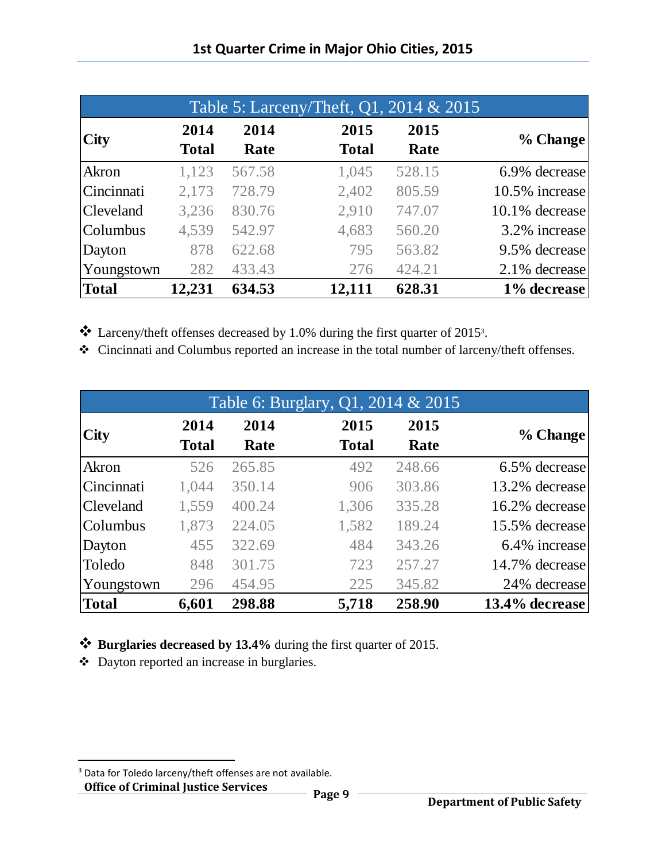|                  |                      |              | Table 5: Larceny/Theft, Q1, 2014 & 2015 |              |                |
|------------------|----------------------|--------------|-----------------------------------------|--------------|----------------|
| <b>City</b>      | 2014<br><b>Total</b> | 2014<br>Rate | 2015<br><b>Total</b>                    | 2015<br>Rate | % Change       |
| Akron            | 1,123                | 567.58       | 1,045                                   | 528.15       | 6.9% decrease  |
| Cincinnati       | 2,173                | 728.79       | 2,402                                   | 805.59       | 10.5% increase |
| <b>Cleveland</b> | 3,236                | 830.76       | 2,910                                   | 747.07       | 10.1% decrease |
| Columbus         | 4,539                | 542.97       | 4,683                                   | 560.20       | 3.2% increase  |
| Dayton           | 878                  | 622.68       | 795                                     | 563.82       | 9.5% decrease  |
| Youngstown       | 282                  | 433.43       | 276                                     | 424.21       | 2.1% decrease  |
| Total            | 12,231               | 634.53       | 12,111                                  | 628.31       | 1% decrease    |

\* Larceny/theft offenses decreased by 1.0% during the first quarter of 2015<sup>3</sup>.

Cincinnati and Columbus reported an increase in the total number of larceny/theft offenses.

|                  |              |        | Table 6: Burglary, Q1, 2014 & 2015 |        |                |
|------------------|--------------|--------|------------------------------------|--------|----------------|
| <b>City</b>      | 2014         | 2014   | 2015                               | 2015   | % Change       |
|                  | <b>Total</b> | Rate   | <b>Total</b>                       | Rate   |                |
| Akron            | 526          | 265.85 | 492                                | 248.66 | 6.5% decrease  |
| Cincinnati       | 1,044        | 350.14 | 906                                | 303.86 | 13.2% decrease |
| <b>Cleveland</b> | 1,559        | 400.24 | 1,306                              | 335.28 | 16.2% decrease |
| Columbus         | 1,873        | 224.05 | 1,582                              | 189.24 | 15.5% decrease |
| Dayton           | 455          | 322.69 | 484                                | 343.26 | 6.4% increase  |
| Toledo           | 848          | 301.75 | 723                                | 257.27 | 14.7% decrease |
| Youngstown       | 296          | 454.95 | 225                                | 345.82 | 24% decrease   |
| <b>Total</b>     | 6,601        | 298.88 | 5,718                              | 258.90 | 13.4% decrease |

**Burglaries decreased by 13.4%** during the first quarter of 2015.

Dayton reported an increase in burglaries.

 $\overline{\phantom{a}}$ 

<sup>&</sup>lt;sup>3</sup> Data for Toledo larceny/theft offenses are not available.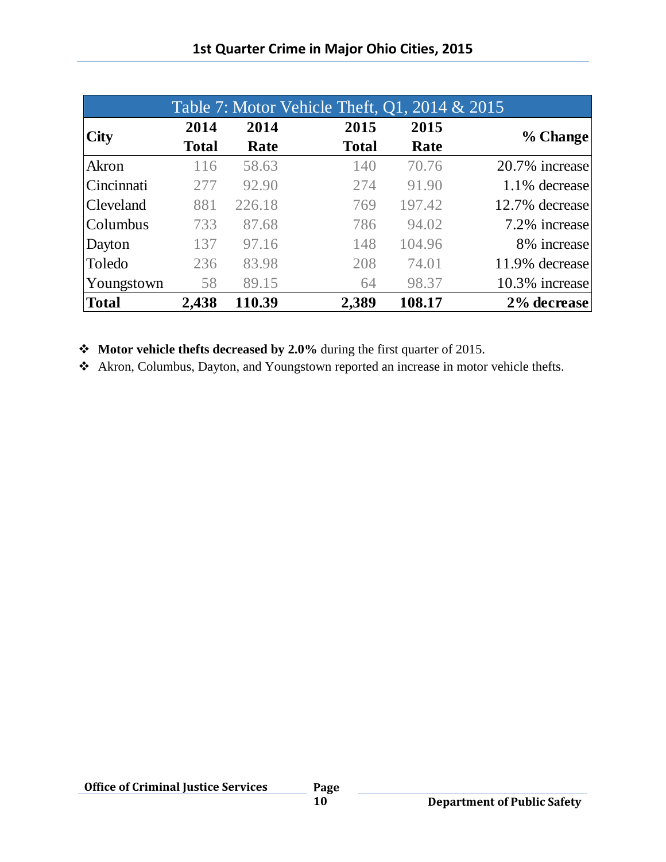|              |              |        | Table 7: Motor Vehicle Theft, Q1, 2014 & 2015 |        |                |
|--------------|--------------|--------|-----------------------------------------------|--------|----------------|
| <b>City</b>  | 2014         | 2014   | 2015                                          | 2015   |                |
|              | <b>Total</b> | Rate   | <b>Total</b>                                  | Rate   | % Change       |
| Akron        | 116          | 58.63  | 140                                           | 70.76  | 20.7% increase |
| Cincinnati   | 277          | 92.90  | 274                                           | 91.90  | 1.1% decrease  |
| Cleveland    | 881          | 226.18 | 769                                           | 197.42 | 12.7% decrease |
| Columbus     | 733          | 87.68  | 786                                           | 94.02  | 7.2% increase  |
| Dayton       | 137          | 97.16  | 148                                           | 104.96 | 8% increase    |
| Toledo       | 236          | 83.98  | 208                                           | 74.01  | 11.9% decrease |
| Youngstown   | 58           | 89.15  | 64                                            | 98.37  | 10.3% increase |
| <b>Total</b> | 2,438        | 110.39 | 2,389                                         | 108.17 | 2% decrease    |

**Motor vehicle thefts decreased by 2.0%** during the first quarter of 2015.

Akron, Columbus, Dayton, and Youngstown reported an increase in motor vehicle thefts.